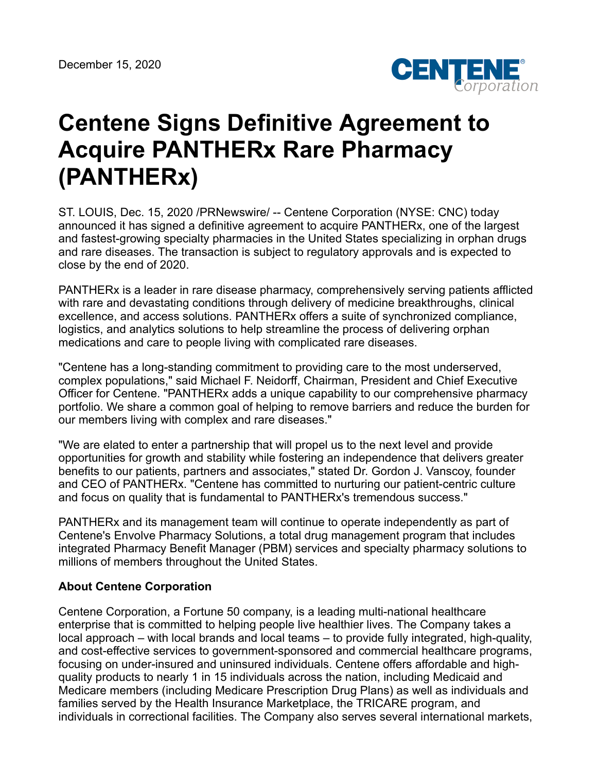

## **Centene Signs Definitive Agreement to Acquire PANTHERx Rare Pharmacy (PANTHERx)**

ST. LOUIS, Dec. 15, 2020 /PRNewswire/ -- Centene Corporation (NYSE: CNC) today announced it has signed a definitive agreement to acquire PANTHERx, one of the largest and fastest-growing specialty pharmacies in the United States specializing in orphan drugs and rare diseases. The transaction is subject to regulatory approvals and is expected to close by the end of 2020.

PANTHERx is a leader in rare disease pharmacy, comprehensively serving patients afflicted with rare and devastating conditions through delivery of medicine breakthroughs, clinical excellence, and access solutions. PANTHERx offers a suite of synchronized compliance, logistics, and analytics solutions to help streamline the process of delivering orphan medications and care to people living with complicated rare diseases.

"Centene has a long-standing commitment to providing care to the most underserved, complex populations," said Michael F. Neidorff, Chairman, President and Chief Executive Officer for Centene. "PANTHERx adds a unique capability to our comprehensive pharmacy portfolio. We share a common goal of helping to remove barriers and reduce the burden for our members living with complex and rare diseases."

"We are elated to enter a partnership that will propel us to the next level and provide opportunities for growth and stability while fostering an independence that delivers greater benefits to our patients, partners and associates," stated Dr. Gordon J. Vanscoy, founder and CEO of PANTHERx. "Centene has committed to nurturing our patient-centric culture and focus on quality that is fundamental to PANTHERx's tremendous success."

PANTHERx and its management team will continue to operate independently as part of Centene's Envolve Pharmacy Solutions, a total drug management program that includes integrated Pharmacy Benefit Manager (PBM) services and specialty pharmacy solutions to millions of members throughout the United States.

## **About Centene Corporation**

Centene Corporation, a Fortune 50 company, is a leading multi-national healthcare enterprise that is committed to helping people live healthier lives. The Company takes a local approach – with local brands and local teams – to provide fully integrated, high-quality, and cost-effective services to government-sponsored and commercial healthcare programs, focusing on under-insured and uninsured individuals. Centene offers affordable and highquality products to nearly 1 in 15 individuals across the nation, including Medicaid and Medicare members (including Medicare Prescription Drug Plans) as well as individuals and families served by the Health Insurance Marketplace, the TRICARE program, and individuals in correctional facilities. The Company also serves several international markets,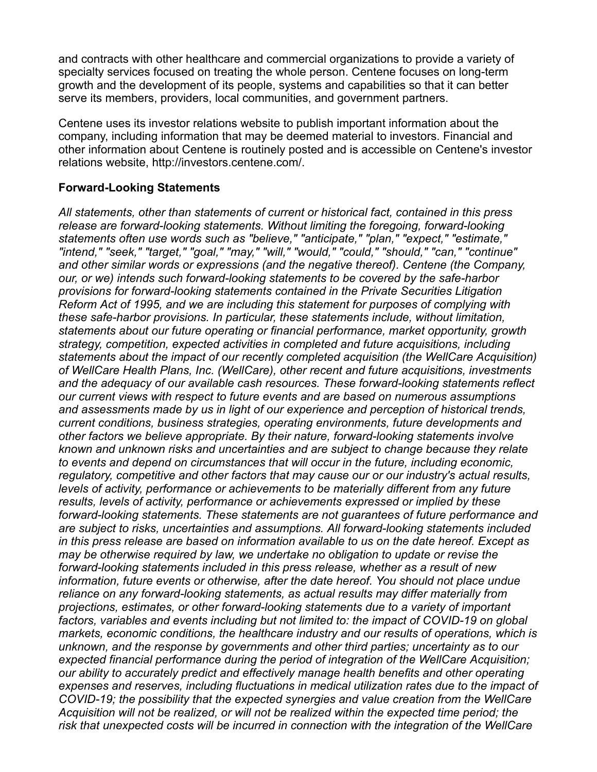and contracts with other healthcare and commercial organizations to provide a variety of specialty services focused on treating the whole person. Centene focuses on long-term growth and the development of its people, systems and capabilities so that it can better serve its members, providers, local communities, and government partners.

Centene uses its investor relations website to publish important information about the company, including information that may be deemed material to investors. Financial and other information about Centene is routinely posted and is accessible on Centene's investor relations website, http://investors.centene.com/.

## **Forward-Looking Statements**

*All statements, other than statements of current or historical fact, contained in this press release are forward-looking statements. Without limiting the foregoing, forward-looking statements often use words such as "believe," "anticipate," "plan," "expect," "estimate," "intend," "seek," "target," "goal," "may," "will," "would," "could," "should," "can," "continue" and other similar words or expressions (and the negative thereof). Centene (the Company, our, or we) intends such forward-looking statements to be covered by the safe-harbor provisions for forward-looking statements contained in the Private Securities Litigation Reform Act of 1995, and we are including this statement for purposes of complying with these safe-harbor provisions. In particular, these statements include, without limitation, statements about our future operating or financial performance, market opportunity, growth strategy, competition, expected activities in completed and future acquisitions, including statements about the impact of our recently completed acquisition (the WellCare Acquisition) of WellCare Health Plans, Inc. (WellCare), other recent and future acquisitions, investments and the adequacy of our available cash resources. These forward-looking statements reflect our current views with respect to future events and are based on numerous assumptions and assessments made by us in light of our experience and perception of historical trends, current conditions, business strategies, operating environments, future developments and other factors we believe appropriate. By their nature, forward-looking statements involve known and unknown risks and uncertainties and are subject to change because they relate to events and depend on circumstances that will occur in the future, including economic, regulatory, competitive and other factors that may cause our or our industry's actual results, levels of activity, performance or achievements to be materially different from any future results, levels of activity, performance or achievements expressed or implied by these forward-looking statements. These statements are not guarantees of future performance and are subject to risks, uncertainties and assumptions. All forward-looking statements included in this press release are based on information available to us on the date hereof. Except as may be otherwise required by law, we undertake no obligation to update or revise the forward-looking statements included in this press release, whether as a result of new information, future events or otherwise, after the date hereof. You should not place undue reliance on any forward-looking statements, as actual results may differ materially from projections, estimates, or other forward-looking statements due to a variety of important factors, variables and events including but not limited to: the impact of COVID-19 on global markets, economic conditions, the healthcare industry and our results of operations, which is unknown, and the response by governments and other third parties; uncertainty as to our expected financial performance during the period of integration of the WellCare Acquisition; our ability to accurately predict and effectively manage health benefits and other operating expenses and reserves, including fluctuations in medical utilization rates due to the impact of COVID-19; the possibility that the expected synergies and value creation from the WellCare Acquisition will not be realized, or will not be realized within the expected time period; the risk that unexpected costs will be incurred in connection with the integration of the WellCare*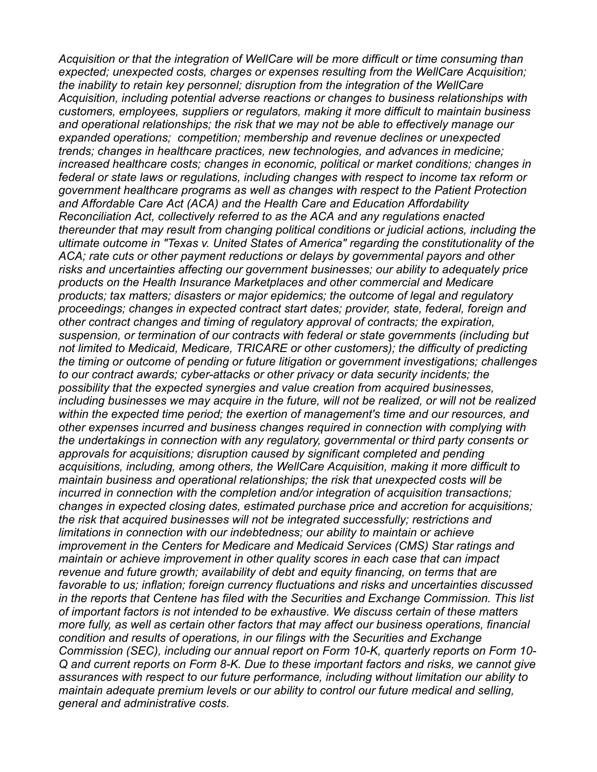*Acquisition or that the integration of WellCare will be more difficult or time consuming than expected; unexpected costs, charges or expenses resulting from the WellCare Acquisition; the inability to retain key personnel; disruption from the integration of the WellCare Acquisition, including potential adverse reactions or changes to business relationships with customers, employees, suppliers or regulators, making it more difficult to maintain business and operational relationships; the risk that we may not be able to effectively manage our expanded operations; competition; membership and revenue declines or unexpected trends; changes in healthcare practices, new technologies, and advances in medicine; increased healthcare costs; changes in economic, political or market conditions; changes in federal or state laws or regulations, including changes with respect to income tax reform or government healthcare programs as well as changes with respect to the Patient Protection and Affordable Care Act (ACA) and the Health Care and Education Affordability Reconciliation Act, collectively referred to as the ACA and any regulations enacted thereunder that may result from changing political conditions or judicial actions, including the ultimate outcome in "Texas v. United States of America" regarding the constitutionality of the ACA; rate cuts or other payment reductions or delays by governmental payors and other risks and uncertainties affecting our government businesses; our ability to adequately price products on the Health Insurance Marketplaces and other commercial and Medicare products; tax matters; disasters or major epidemics; the outcome of legal and regulatory proceedings; changes in expected contract start dates; provider, state, federal, foreign and other contract changes and timing of regulatory approval of contracts; the expiration, suspension, or termination of our contracts with federal or state governments (including but not limited to Medicaid, Medicare, TRICARE or other customers); the difficulty of predicting the timing or outcome of pending or future litigation or government investigations; challenges to our contract awards; cyber-attacks or other privacy or data security incidents; the possibility that the expected synergies and value creation from acquired businesses, including businesses we may acquire in the future, will not be realized, or will not be realized within the expected time period; the exertion of management's time and our resources, and other expenses incurred and business changes required in connection with complying with the undertakings in connection with any regulatory, governmental or third party consents or approvals for acquisitions; disruption caused by significant completed and pending acquisitions, including, among others, the WellCare Acquisition, making it more difficult to maintain business and operational relationships; the risk that unexpected costs will be incurred in connection with the completion and/or integration of acquisition transactions; changes in expected closing dates, estimated purchase price and accretion for acquisitions; the risk that acquired businesses will not be integrated successfully; restrictions and limitations in connection with our indebtedness; our ability to maintain or achieve improvement in the Centers for Medicare and Medicaid Services (CMS) Star ratings and maintain or achieve improvement in other quality scores in each case that can impact revenue and future growth; availability of debt and equity financing, on terms that are favorable to us; inflation; foreign currency fluctuations and risks and uncertainties discussed in the reports that Centene has filed with the Securities and Exchange Commission. This list of important factors is not intended to be exhaustive. We discuss certain of these matters more fully, as well as certain other factors that may affect our business operations, financial condition and results of operations, in our filings with the Securities and Exchange Commission (SEC), including our annual report on Form 10-K, quarterly reports on Form 10- Q and current reports on Form 8-K. Due to these important factors and risks, we cannot give assurances with respect to our future performance, including without limitation our ability to maintain adequate premium levels or our ability to control our future medical and selling, general and administrative costs.*